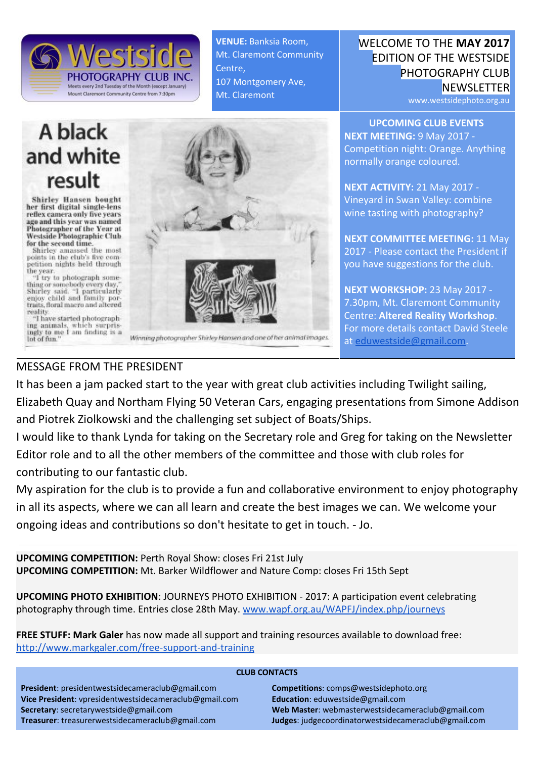

A black and white result

**Shirley Hansen bought** her first digital single-lens reflex camera only five years ago and this year was named Photographer of the Year at<br>Westside Photographic Club for the second time.

Shirley amassed the most<br>points in the club's five com-<br>petition nights held through the year.

"I try to photograph something or somebody every day,"<br>Shirley said. "I particularly<br>enjoy child and family portraits, floral macro and altered reality.

"I have started photographing animals, which surprisingly to me I am finding is a lot of fun."



VENUE: Banksia Room, Mt. Claremont Community

107 Montgomery Ave,

Mt. Claremont

Centre,

Winning photographer Shirley Hansen and one of her animal images.

WELCOME TO THE MAY 2017 EDITION OF THE WESTSIDE PHOTOGRAPHY CLUB **NEWSLETTER** 

www.westsidephoto.org.au

UPCOMING CLUB EVENTS NEXT MEETING: 9 May 2017 - Competition night: Orange. Anything normally orange coloured.

NEXT ACTIVITY: 21 May 2017 - Vineyard in Swan Valley: combine wine tasting with photography?

**NEXT COMMITTEE MEETING: 11 May** 2017 - Please contact the President if you have suggestions for the club.

NEXT WORKSHOP: 23 May 2017 -7.30pm, Mt. Claremont Community Centre: Altered Reality Workshop. For more details contact David Steele at [eduwestside@gmail.com.](mailto:eduwestside@gmail.com)

### MESSAGE FROM THE PRESIDENT

It has been a jam packed start to the year with great club activities including Twilight sailing, Elizabeth Quay and Northam Flying 50 Veteran Cars, engaging presentations from Simone Addison and Piotrek Ziolkowski and the challenging set subject of Boats/Ships.

I would like to thank Lynda for taking on the Secretary role and Greg for taking on the Newsletter Editor role and to all the other members of the committee and those with club roles for contributing to our fantastic club.

My aspiration for the club is to provide a fun and collaborative environment to enjoy photography in all its aspects, where we can all learn and create the best images we can. We welcome your ongoing ideas and contributions so don't hesitate to get in touch. - Jo.

UPCOMING COMPETITION: Perth Royal Show: closes Fri 21st July UPCOMING COMPETITION: Mt. Barker Wildflower and Nature Comp: closes Fri 15th Sept

UPCOMING PHOTO EXHIBITION: JOURNEYS PHOTO EXHIBITION - 2017: A participation event celebrating photography through time. Entries close 28th May. [www.wapf.org.au/WAPFJ/index.php/journeys](http://www.wapf.org.au/WAPFJ/index.php/journeys)

FREE STUFF: Mark Galer has now made all support and training resources available to download free: <http://www.markgaler.com/free-support-and-training>

#### CLUB CONTACTS

President: presidentwestsidecameraclub@gmail.com Vice President: vpresidentwestsidecameraclub@gmail.com Secretary: secretarywestside@gmail.com Treasurer: treasurerwestsidecameraclub@gmail.com Competitions: comps@westsidephoto.org Education: eduwestside@gmail.com Web Master: webmasterwestsidecameraclub@gmail.com Judges: judgecoordinatorwestsidecameraclub@gmail.com